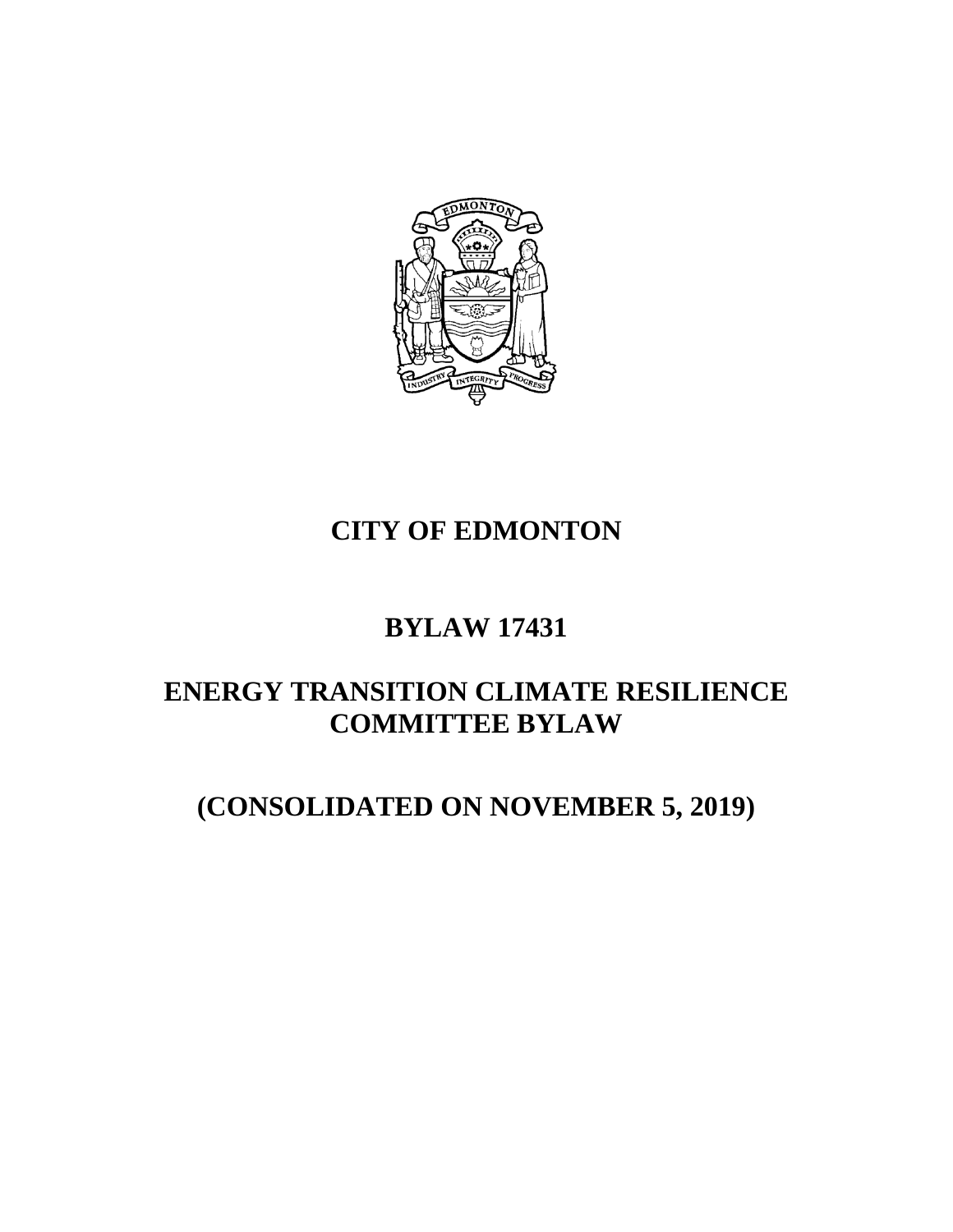

# **CITY OF EDMONTON**

# **BYLAW 17431**

# **ENERGY TRANSITION CLIMATE RESILIENCE COMMITTEE BYLAW**

# **(CONSOLIDATED ON NOVEMBER 5, 2019)**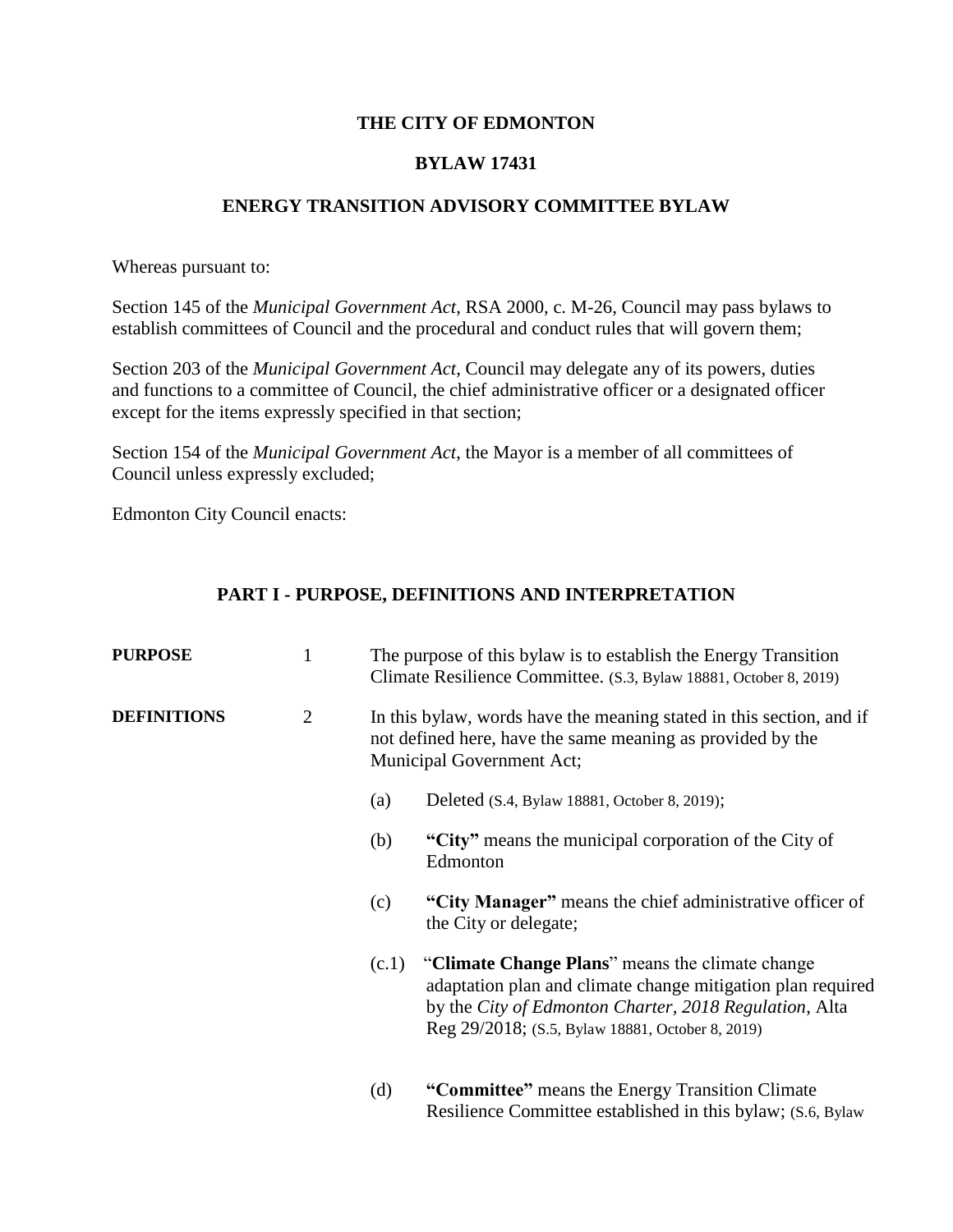### **THE CITY OF EDMONTON**

## **BYLAW 17431**

### **ENERGY TRANSITION ADVISORY COMMITTEE BYLAW**

Whereas pursuant to:

Section 145 of the *Municipal Government Act*, RSA 2000, c. M-26, Council may pass bylaws to establish committees of Council and the procedural and conduct rules that will govern them;

Section 203 of the *Municipal Government Act*, Council may delegate any of its powers, duties and functions to a committee of Council, the chief administrative officer or a designated officer except for the items expressly specified in that section;

Section 154 of the *Municipal Government Act*, the Mayor is a member of all committees of Council unless expressly excluded;

Edmonton City Council enacts:

## **PART I - PURPOSE, DEFINITIONS AND INTERPRETATION**

| <b>PURPOSE</b>     | $\mathbf{1}$   |                                                                                                                                                                 | The purpose of this bylaw is to establish the Energy Transition<br>Climate Resilience Committee. (S.3, Bylaw 18881, October 8, 2019)                                                                                         |
|--------------------|----------------|-----------------------------------------------------------------------------------------------------------------------------------------------------------------|------------------------------------------------------------------------------------------------------------------------------------------------------------------------------------------------------------------------------|
| <b>DEFINITIONS</b> | $\overline{2}$ | In this bylaw, words have the meaning stated in this section, and if<br>not defined here, have the same meaning as provided by the<br>Municipal Government Act; |                                                                                                                                                                                                                              |
|                    |                | (a)                                                                                                                                                             | Deleted (S.4, Bylaw 18881, October 8, 2019);                                                                                                                                                                                 |
|                    |                | (b)                                                                                                                                                             | "City" means the municipal corporation of the City of<br>Edmonton                                                                                                                                                            |
|                    |                | (c)                                                                                                                                                             | "City Manager" means the chief administrative officer of<br>the City or delegate;                                                                                                                                            |
|                    |                | (c.1)                                                                                                                                                           | "Climate Change Plans" means the climate change<br>adaptation plan and climate change mitigation plan required<br>by the City of Edmonton Charter, 2018 Regulation, Alta<br>Reg 29/2018; (S.5, Bylaw 18881, October 8, 2019) |
|                    |                | (d)                                                                                                                                                             | "Committee" means the Energy Transition Climate<br>Resilience Committee established in this bylaw; (S.6, Bylaw)                                                                                                              |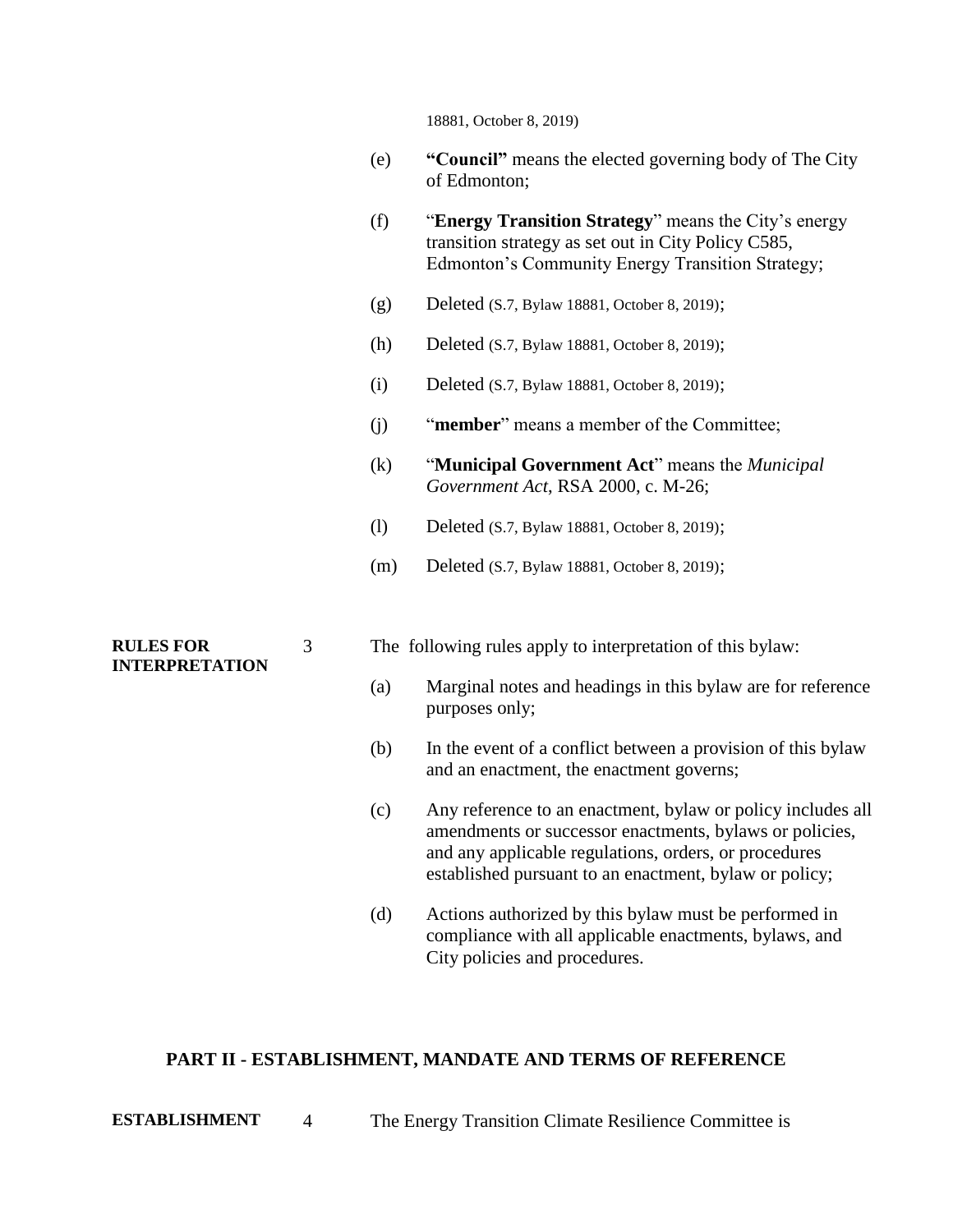18881, October 8, 2019)

- (e) **"Council"** means the elected governing body of The City of Edmonton;
- (f) "**Energy Transition Strategy**" means the City's energy transition strategy as set out in City Policy C585, Edmonton's Community Energy Transition Strategy;
- (g) Deleted (S.7, Bylaw 18881, October 8, 2019);
- (h) Deleted (S.7, Bylaw 18881, October 8, 2019);
- (i) Deleted (S.7, Bylaw 18881, October 8, 2019);
- (j) "**member**" means a member of the Committee;
- (k) "**Municipal Government Act**" means the *Municipal Government Act*, RSA 2000, c. M-26;
- (l) Deleted (S.7, Bylaw 18881, October 8, 2019);
- (m) Deleted (S.7, Bylaw 18881, October 8, 2019);

#### **RULES FOR INTERPRETATION**

- 3 The following rules apply to interpretation of this bylaw:
	- (a) Marginal notes and headings in this bylaw are for reference purposes only;
	- (b) In the event of a conflict between a provision of this bylaw and an enactment, the enactment governs;
	- (c) Any reference to an enactment, bylaw or policy includes all amendments or successor enactments, bylaws or policies, and any applicable regulations, orders, or procedures established pursuant to an enactment, bylaw or policy;
	- (d) Actions authorized by this bylaw must be performed in compliance with all applicable enactments, bylaws, and City policies and procedures.

#### **PART II - ESTABLISHMENT, MANDATE AND TERMS OF REFERENCE**

**ESTABLISHMENT** 4 The Energy Transition Climate Resilience Committee is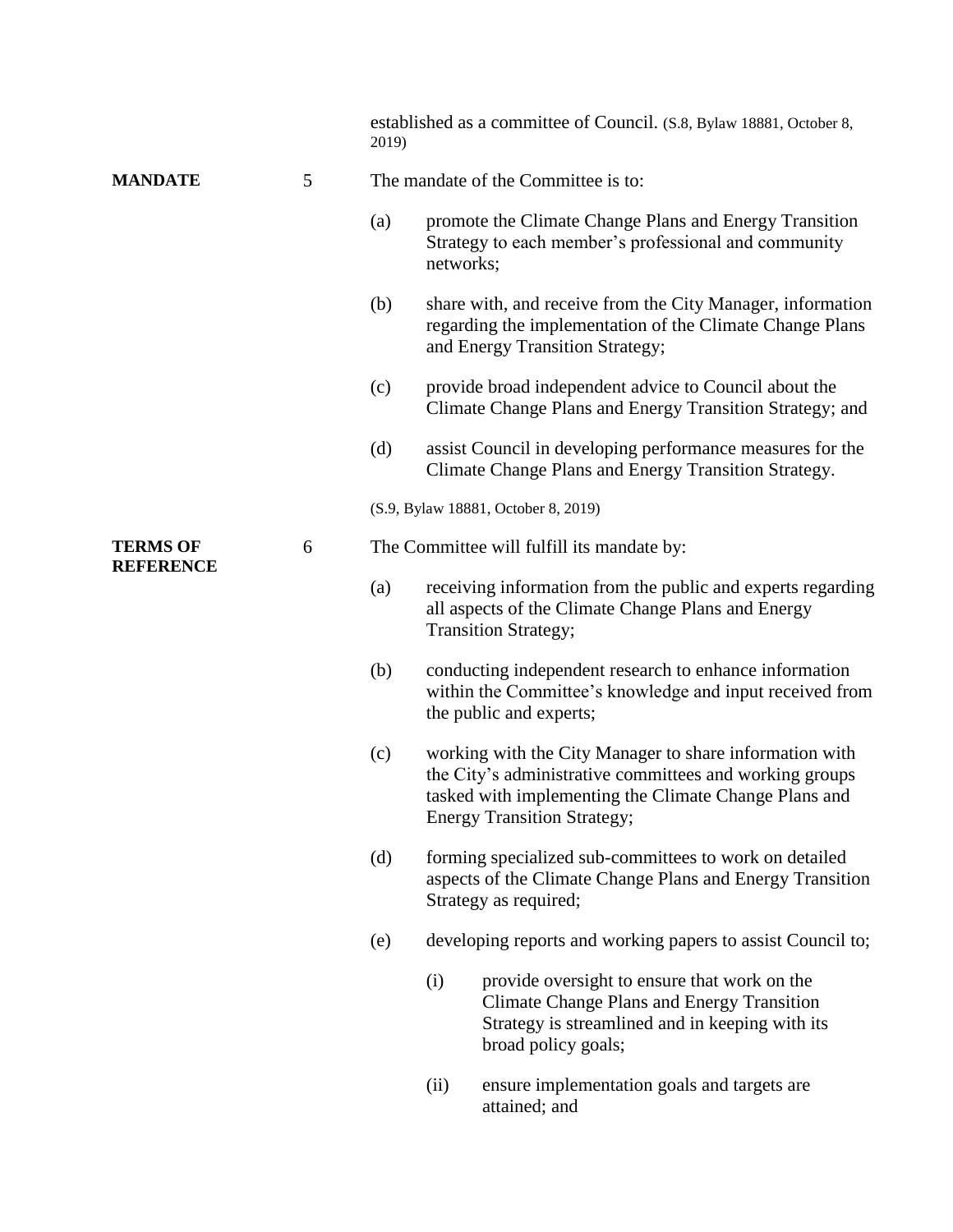|                                     |   | 2019)                                      |                                     | established as a committee of Council. (S.8, Bylaw 18881, October 8,                                                                                                                                              |  |  |
|-------------------------------------|---|--------------------------------------------|-------------------------------------|-------------------------------------------------------------------------------------------------------------------------------------------------------------------------------------------------------------------|--|--|
| <b>MANDATE</b>                      | 5 | The mandate of the Committee is to:        |                                     |                                                                                                                                                                                                                   |  |  |
|                                     |   | (a)                                        | networks;                           | promote the Climate Change Plans and Energy Transition<br>Strategy to each member's professional and community                                                                                                    |  |  |
|                                     |   | (b)                                        |                                     | share with, and receive from the City Manager, information<br>regarding the implementation of the Climate Change Plans<br>and Energy Transition Strategy;                                                         |  |  |
|                                     |   | (c)                                        |                                     | provide broad independent advice to Council about the<br>Climate Change Plans and Energy Transition Strategy; and                                                                                                 |  |  |
|                                     |   | (d)                                        |                                     | assist Council in developing performance measures for the<br>Climate Change Plans and Energy Transition Strategy.                                                                                                 |  |  |
|                                     |   |                                            | (S.9, Bylaw 18881, October 8, 2019) |                                                                                                                                                                                                                   |  |  |
| <b>TERMS OF</b><br><b>REFERENCE</b> | 6 | The Committee will fulfill its mandate by: |                                     |                                                                                                                                                                                                                   |  |  |
|                                     |   | (a)                                        |                                     | receiving information from the public and experts regarding<br>all aspects of the Climate Change Plans and Energy<br><b>Transition Strategy;</b>                                                                  |  |  |
|                                     |   | (b)                                        |                                     | conducting independent research to enhance information<br>within the Committee's knowledge and input received from<br>the public and experts;                                                                     |  |  |
|                                     |   | (c)                                        |                                     | working with the City Manager to share information with<br>the City's administrative committees and working groups<br>tasked with implementing the Climate Change Plans and<br><b>Energy Transition Strategy;</b> |  |  |
|                                     |   | (d)                                        |                                     | forming specialized sub-committees to work on detailed<br>aspects of the Climate Change Plans and Energy Transition<br>Strategy as required;                                                                      |  |  |
|                                     |   | (e)                                        |                                     | developing reports and working papers to assist Council to;                                                                                                                                                       |  |  |
|                                     |   |                                            | (i)                                 | provide oversight to ensure that work on the<br><b>Climate Change Plans and Energy Transition</b><br>Strategy is streamlined and in keeping with its<br>broad policy goals;                                       |  |  |
|                                     |   |                                            | (ii)                                | ensure implementation goals and targets are<br>attained; and                                                                                                                                                      |  |  |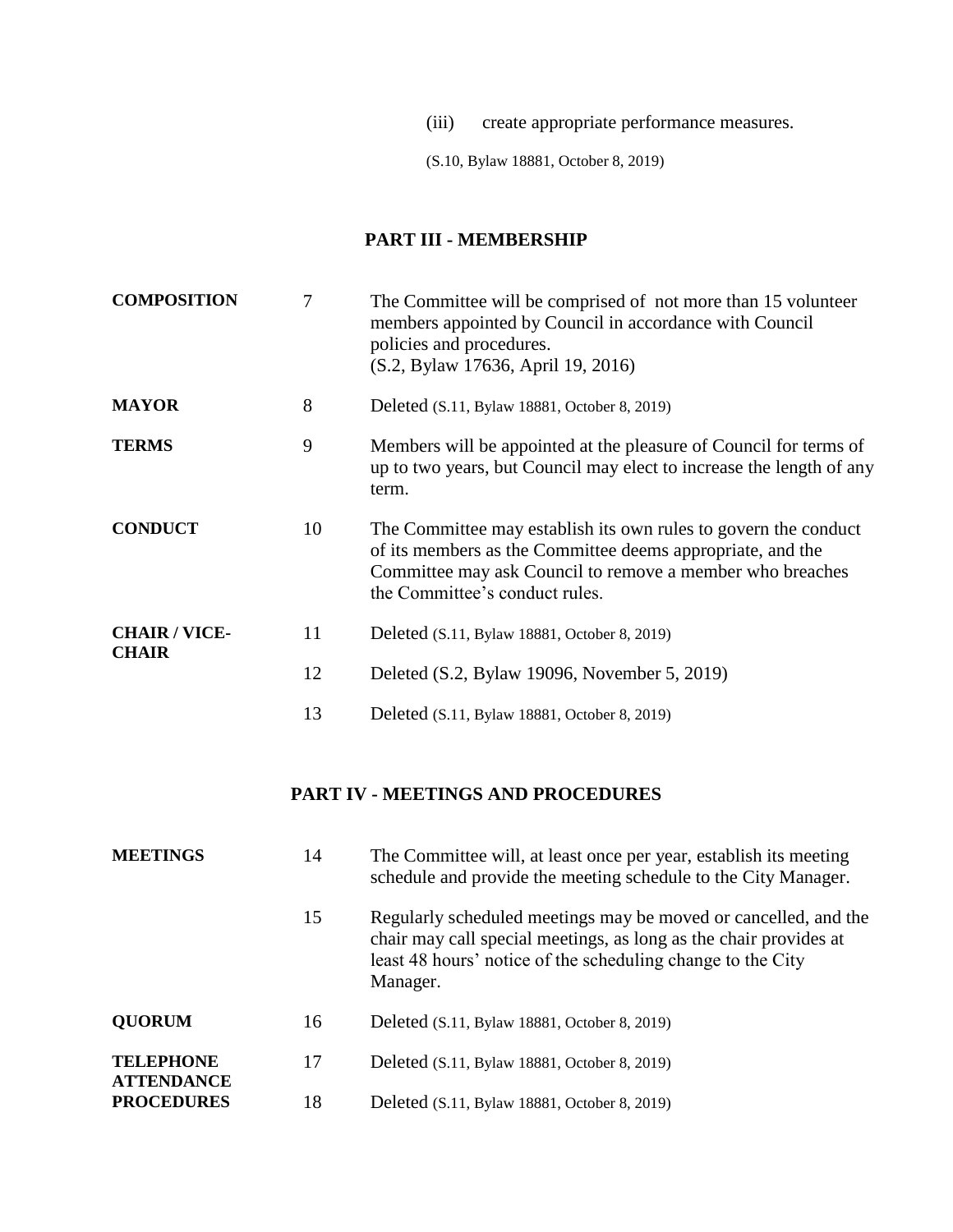(iii) create appropriate performance measures.

(S.10, Bylaw 18881, October 8, 2019)

# **PART III - MEMBERSHIP**

| <b>COMPOSITION</b>                    | 7  | The Committee will be comprised of not more than 15 volunteer<br>members appointed by Council in accordance with Council<br>policies and procedures.<br>(S.2, Bylaw 17636, April 19, 2016)                                   |
|---------------------------------------|----|------------------------------------------------------------------------------------------------------------------------------------------------------------------------------------------------------------------------------|
| <b>MAYOR</b>                          | 8  | Deleted (S.11, Bylaw 18881, October 8, 2019)                                                                                                                                                                                 |
| <b>TERMS</b>                          | 9  | Members will be appointed at the pleasure of Council for terms of<br>up to two years, but Council may elect to increase the length of any<br>term.                                                                           |
| <b>CONDUCT</b>                        | 10 | The Committee may establish its own rules to govern the conduct<br>of its members as the Committee deems appropriate, and the<br>Committee may ask Council to remove a member who breaches<br>the Committee's conduct rules. |
| <b>CHAIR / VICE-</b><br><b>CHAIR</b>  | 11 | Deleted (S.11, Bylaw 18881, October 8, 2019)                                                                                                                                                                                 |
|                                       | 12 | Deleted (S.2, Bylaw 19096, November 5, 2019)                                                                                                                                                                                 |
|                                       | 13 | Deleted (S.11, Bylaw 18881, October 8, 2019)                                                                                                                                                                                 |
|                                       |    | <b>PART IV - MEETINGS AND PROCEDURES</b>                                                                                                                                                                                     |
| <b>MEETINGS</b>                       | 14 | The Committee will, at least once per year, establish its meeting<br>schedule and provide the meeting schedule to the City Manager.                                                                                          |
|                                       | 15 | Regularly scheduled meetings may be moved or cancelled, and the<br>chair may call special meetings, as long as the chair provides at<br>least 48 hours' notice of the scheduling change to the City<br>Manager.              |
| <b>QUORUM</b>                         | 16 | Deleted (S.11, Bylaw 18881, October 8, 2019)                                                                                                                                                                                 |
| <b>TELEPHONE</b><br><b>ATTENDANCE</b> | 17 | Deleted (S.11, Bylaw 18881, October 8, 2019)                                                                                                                                                                                 |
| <b>PROCEDURES</b>                     | 18 | Deleted (S.11, Bylaw 18881, October 8, 2019)                                                                                                                                                                                 |